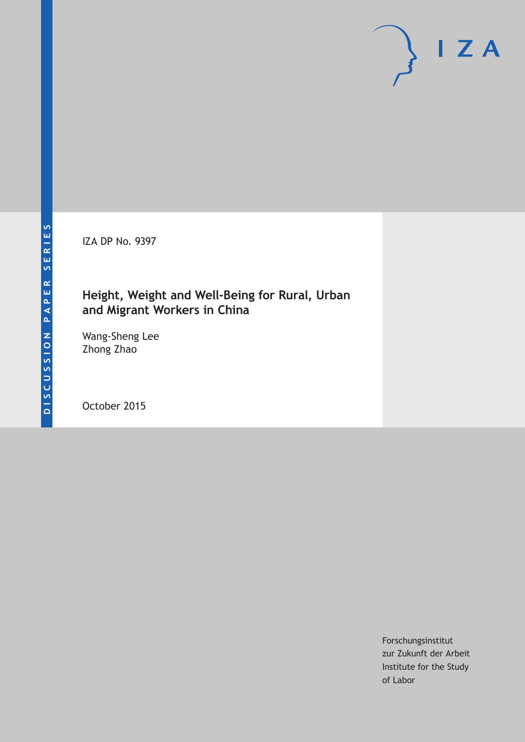IZA DP No. 9397

# **Height, Weight and Well-Being for Rural, Urban and Migrant Workers in China**

Wang-Sheng Lee Zhong Zhao

October 2015

Forschungsinstitut zur Zukunft der Arbeit Institute for the Study of Labor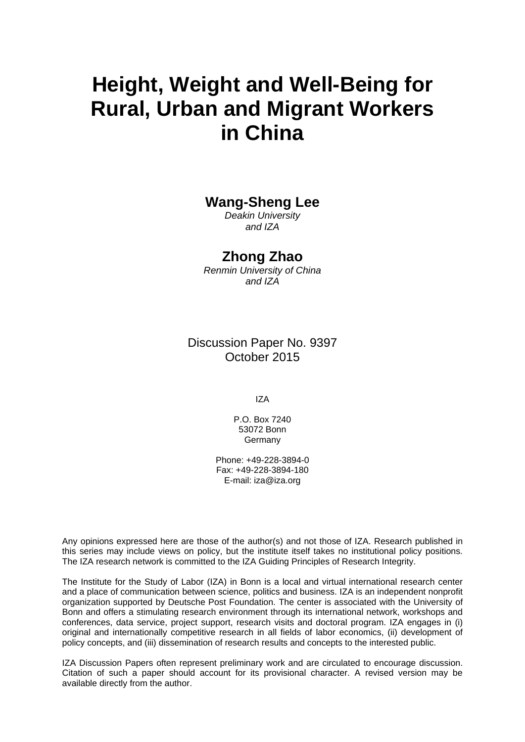# **Height, Weight and Well-Being for Rural, Urban and Migrant Workers in China**

## **Wang-Sheng Lee**

*Deakin University and IZA* 

### **Zhong Zhao**

*Renmin University of China and IZA* 

Discussion Paper No. 9397 October 2015

IZA

P.O. Box 7240 53072 Bonn Germany

Phone: +49-228-3894-0 Fax: +49-228-3894-180 E-mail: iza@iza.org

Any opinions expressed here are those of the author(s) and not those of IZA. Research published in this series may include views on policy, but the institute itself takes no institutional policy positions. The IZA research network is committed to the IZA Guiding Principles of Research Integrity.

The Institute for the Study of Labor (IZA) in Bonn is a local and virtual international research center and a place of communication between science, politics and business. IZA is an independent nonprofit organization supported by Deutsche Post Foundation. The center is associated with the University of Bonn and offers a stimulating research environment through its international network, workshops and conferences, data service, project support, research visits and doctoral program. IZA engages in (i) original and internationally competitive research in all fields of labor economics, (ii) development of policy concepts, and (iii) dissemination of research results and concepts to the interested public.

IZA Discussion Papers often represent preliminary work and are circulated to encourage discussion. Citation of such a paper should account for its provisional character. A revised version may be available directly from the author.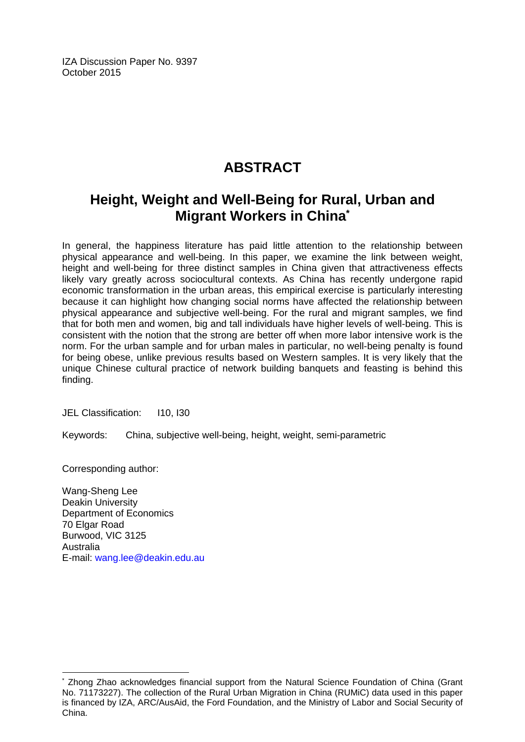IZA Discussion Paper No. 9397 October 2015

# **ABSTRACT**

# **Height, Weight and Well-Being for Rural, Urban and Migrant Workers in China\***

In general, the happiness literature has paid little attention to the relationship between physical appearance and well-being. In this paper, we examine the link between weight, height and well-being for three distinct samples in China given that attractiveness effects likely vary greatly across sociocultural contexts. As China has recently undergone rapid economic transformation in the urban areas, this empirical exercise is particularly interesting because it can highlight how changing social norms have affected the relationship between physical appearance and subjective well-being. For the rural and migrant samples, we find that for both men and women, big and tall individuals have higher levels of well-being. This is consistent with the notion that the strong are better off when more labor intensive work is the norm. For the urban sample and for urban males in particular, no well-being penalty is found for being obese, unlike previous results based on Western samples. It is very likely that the unique Chinese cultural practice of network building banquets and feasting is behind this finding.

JEL Classification: I10, I30

Keywords: China, subjective well-being, height, weight, semi-parametric

Corresponding author:

 $\overline{a}$ 

Wang-Sheng Lee Deakin University Department of Economics 70 Elgar Road Burwood, VIC 3125 Australia E-mail: wang.lee@deakin.edu.au

<sup>\*</sup> Zhong Zhao acknowledges financial support from the Natural Science Foundation of China (Grant No. 71173227). The collection of the Rural Urban Migration in China (RUMiC) data used in this paper is financed by IZA, ARC/AusAid, the Ford Foundation, and the Ministry of Labor and Social Security of China.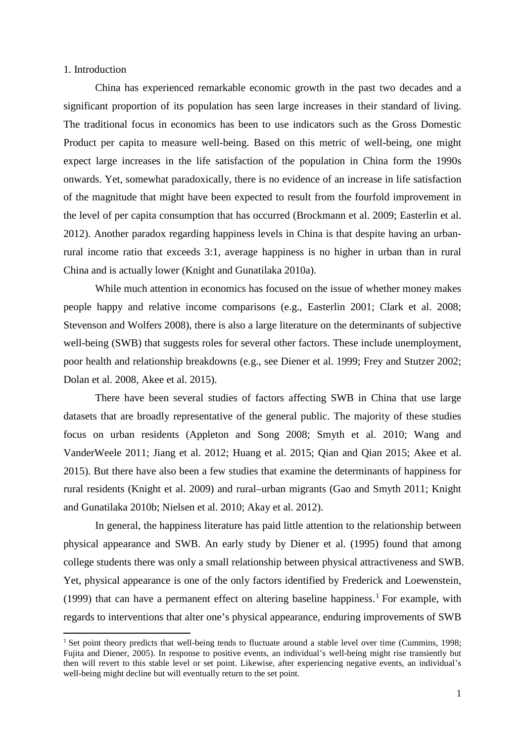#### 1. Introduction

 $\overline{a}$ 

China has experienced remarkable economic growth in the past two decades and a significant proportion of its population has seen large increases in their standard of living. The traditional focus in economics has been to use indicators such as the Gross Domestic Product per capita to measure well-being. Based on this metric of well-being, one might expect large increases in the life satisfaction of the population in China form the 1990s onwards. Yet, somewhat paradoxically, there is no evidence of an increase in life satisfaction of the magnitude that might have been expected to result from the fourfold improvement in the level of per capita consumption that has occurred (Brockmann et al. 2009; Easterlin et al. 2012). Another paradox regarding happiness levels in China is that despite having an urbanrural income ratio that exceeds 3:1, average happiness is no higher in urban than in rural China and is actually lower (Knight and Gunatilaka 2010a).

While much attention in economics has focused on the issue of whether money makes people happy and relative income comparisons (e.g., Easterlin 2001; Clark et al. 2008; Stevenson and Wolfers 2008), there is also a large literature on the determinants of subjective well-being (SWB) that suggests roles for several other factors. These include unemployment, poor health and relationship breakdowns (e.g., see Diener et al. 1999; Frey and Stutzer 2002; Dolan et al. 2008, Akee et al. 2015).

There have been several studies of factors affecting SWB in China that use large datasets that are broadly representative of the general public. The majority of these studies focus on urban residents (Appleton and Song 2008; Smyth et al. 2010; Wang and VanderWeele 2011; Jiang et al. 2012; Huang et al. 2015; Qian and Qian 2015; Akee et al. 2015). But there have also been a few studies that examine the determinants of happiness for rural residents (Knight et al. 2009) and rural–urban migrants (Gao and Smyth 2011; Knight and Gunatilaka 2010b; Nielsen et al. 2010; Akay et al. 2012).

In general, the happiness literature has paid little attention to the relationship between physical appearance and SWB. An early study by Diener et al. (1995) found that among college students there was only a small relationship between physical attractiveness and SWB. Yet, physical appearance is one of the only factors identified by Frederick and Loewenstein, ([1](#page-3-0)999) that can have a permanent effect on altering baseline happiness.<sup>1</sup> For example, with regards to interventions that alter one's physical appearance, enduring improvements of SWB

<span id="page-3-0"></span><sup>&</sup>lt;sup>1</sup> Set point theory predicts that well-being tends to fluctuate around a stable level over time (Cummins, 1998; Fujita and Diener, 2005). In response to positive events, an individual's well-being might rise transiently but then will revert to this stable level or set point. Likewise, after experiencing negative events, an individual's well-being might decline but will eventually return to the set point.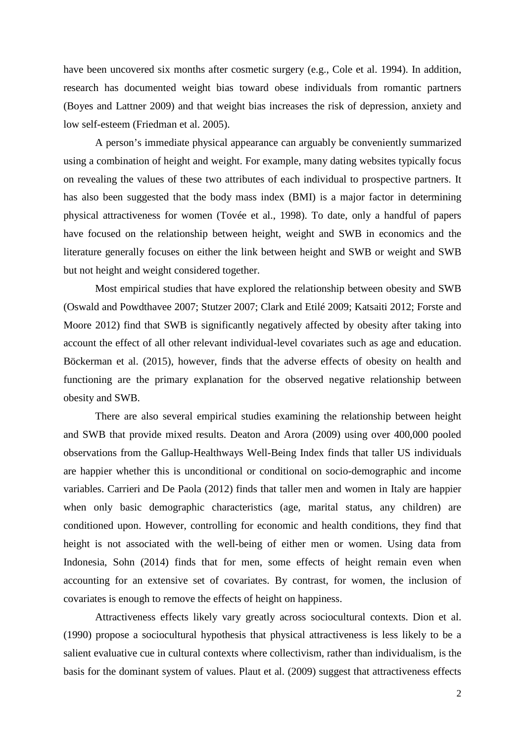have been uncovered six months after cosmetic surgery (e.g., Cole et al. 1994). In addition, research has documented weight bias toward obese individuals from romantic partners (Boyes and Lattner 2009) and that weight bias increases the risk of depression, anxiety and low self-esteem (Friedman et al. 2005).

A person's immediate physical appearance can arguably be conveniently summarized using a combination of height and weight. For example, many dating websites typically focus on revealing the values of these two attributes of each individual to prospective partners. It has also been suggested that the body mass index (BMI) is a major factor in determining physical attractiveness for women (Tovée et al., 1998). To date, only a handful of papers have focused on the relationship between height, weight and SWB in economics and the literature generally focuses on either the link between height and SWB or weight and SWB but not height and weight considered together.

Most empirical studies that have explored the relationship between obesity and SWB (Oswald and Powdthavee 2007; Stutzer 2007; Clark and Etilé 2009; Katsaiti 2012; Forste and Moore 2012) find that SWB is significantly negatively affected by obesity after taking into account the effect of all other relevant individual-level covariates such as age and education. Böckerman et al. (2015), however, finds that the adverse effects of obesity on health and functioning are the primary explanation for the observed negative relationship between obesity and SWB.

There are also several empirical studies examining the relationship between height and SWB that provide mixed results. Deaton and Arora (2009) using over 400,000 pooled observations from the Gallup-Healthways Well-Being Index finds that taller US individuals are happier whether this is unconditional or conditional on socio-demographic and income variables. Carrieri and De Paola (2012) finds that taller men and women in Italy are happier when only basic demographic characteristics (age, marital status, any children) are conditioned upon. However, controlling for economic and health conditions, they find that height is not associated with the well-being of either men or women. Using data from Indonesia, Sohn (2014) finds that for men, some effects of height remain even when accounting for an extensive set of covariates. By contrast, for women, the inclusion of covariates is enough to remove the effects of height on happiness.

Attractiveness effects likely vary greatly across sociocultural contexts. Dion et al. (1990) propose a sociocultural hypothesis that physical attractiveness is less likely to be a salient evaluative cue in cultural contexts where collectivism, rather than individualism, is the basis for the dominant system of values. Plaut et al. (2009) suggest that attractiveness effects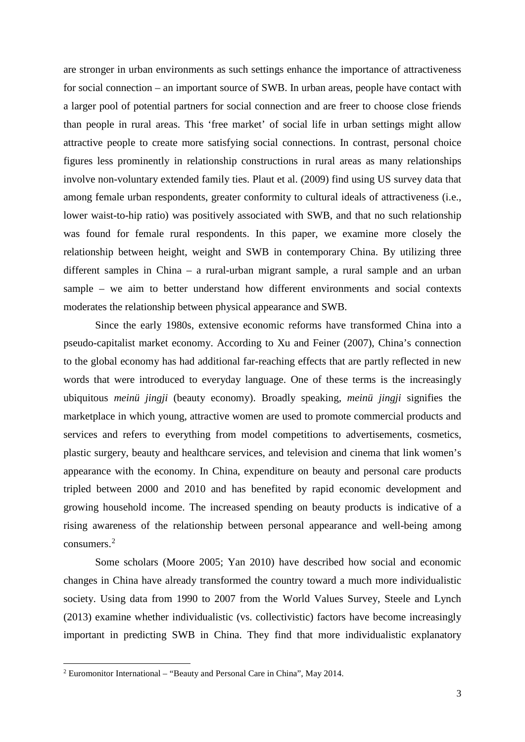are stronger in urban environments as such settings enhance the importance of attractiveness for social connection – an important source of SWB. In urban areas, people have contact with a larger pool of potential partners for social connection and are freer to choose close friends than people in rural areas. This 'free market' of social life in urban settings might allow attractive people to create more satisfying social connections. In contrast, personal choice figures less prominently in relationship constructions in rural areas as many relationships involve non-voluntary extended family ties. Plaut et al. (2009) find using US survey data that among female urban respondents, greater conformity to cultural ideals of attractiveness (i.e., lower waist-to-hip ratio) was positively associated with SWB, and that no such relationship was found for female rural respondents. In this paper, we examine more closely the relationship between height, weight and SWB in contemporary China. By utilizing three different samples in China – a rural-urban migrant sample, a rural sample and an urban sample – we aim to better understand how different environments and social contexts moderates the relationship between physical appearance and SWB.

Since the early 1980s, extensive economic reforms have transformed China into a pseudo-capitalist market economy. According to Xu and Feiner (2007), China's connection to the global economy has had additional far-reaching effects that are partly reflected in new words that were introduced to everyday language. One of these terms is the increasingly ubiquitous *meinü jingji* (beauty economy). Broadly speaking, *meinü jingji* signifies the marketplace in which young, attractive women are used to promote commercial products and services and refers to everything from model competitions to advertisements, cosmetics, plastic surgery, beauty and healthcare services, and television and cinema that link women's appearance with the economy. In China, expenditure on beauty and personal care products tripled between 2000 and 2010 and has benefited by rapid economic development and growing household income. The increased spending on beauty products is indicative of a rising awareness of the relationship between personal appearance and well-being among consumers.[2](#page-5-0)

Some scholars (Moore 2005; Yan 2010) have described how social and economic changes in China have already transformed the country toward a much more individualistic society. Using data from 1990 to 2007 from the World Values Survey, Steele and Lynch (2013) examine whether individualistic (vs. collectivistic) factors have become increasingly important in predicting SWB in China. They find that more individualistic explanatory

1

<span id="page-5-0"></span><sup>2</sup> Euromonitor International – "Beauty and Personal Care in China", May 2014.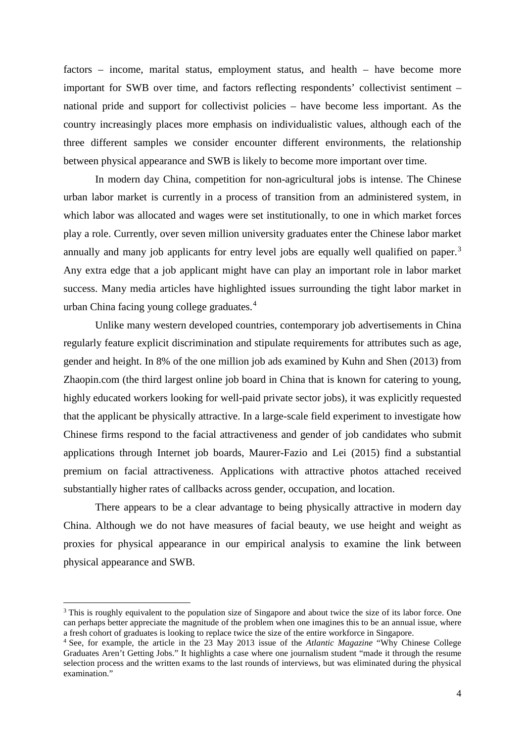factors – income, marital status, employment status, and health – have become more important for SWB over time, and factors reflecting respondents' collectivist sentiment – national pride and support for collectivist policies – have become less important. As the country increasingly places more emphasis on individualistic values, although each of the three different samples we consider encounter different environments, the relationship between physical appearance and SWB is likely to become more important over time.

In modern day China, competition for non-agricultural jobs is intense. The Chinese urban labor market is currently in a process of transition from an administered system, in which labor was allocated and wages were set institutionally, to one in which market forces play a role. Currently, over seven million university graduates enter the Chinese labor market annually and many job applicants for entry level jobs are equally well qualified on paper.<sup>[3](#page-6-0)</sup> Any extra edge that a job applicant might have can play an important role in labor market success. Many media articles have highlighted issues surrounding the tight labor market in urban China facing young college graduates.[4](#page-6-1)

Unlike many western developed countries, contemporary job advertisements in China regularly feature explicit discrimination and stipulate requirements for attributes such as age, gender and height. In 8% of the one million job ads examined by Kuhn and Shen (2013) from Zhaopin.com (the third largest online job board in China that is known for catering to young, highly educated workers looking for well-paid private sector jobs), it was explicitly requested that the applicant be physically attractive. In a large-scale field experiment to investigate how Chinese firms respond to the facial attractiveness and gender of job candidates who submit applications through Internet job boards, Maurer-Fazio and Lei (2015) find a substantial premium on facial attractiveness. Applications with attractive photos attached received substantially higher rates of callbacks across gender, occupation, and location.

There appears to be a clear advantage to being physically attractive in modern day China. Although we do not have measures of facial beauty, we use height and weight as proxies for physical appearance in our empirical analysis to examine the link between physical appearance and SWB.

**.** 

<span id="page-6-0"></span><sup>&</sup>lt;sup>3</sup> This is roughly equivalent to the population size of Singapore and about twice the size of its labor force. One can perhaps better appreciate the magnitude of the problem when one imagines this to be an annual issue, where a fresh cohort of graduates is looking to replace twice the size of the entire workforce in Singapore.

<span id="page-6-1"></span><sup>4</sup> See, for example, the article in the 23 May 2013 issue of the *Atlantic Magazine* "Why Chinese College Graduates Aren't Getting Jobs." It highlights a case where one journalism student "made it through the resume selection process and the written exams to the last rounds of interviews, but was eliminated during the physical examination."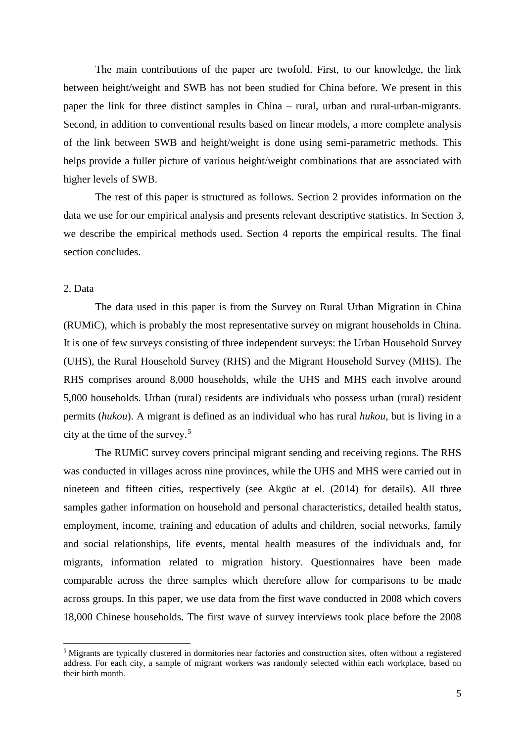The main contributions of the paper are twofold. First, to our knowledge, the link between height/weight and SWB has not been studied for China before. We present in this paper the link for three distinct samples in China – rural, urban and rural-urban-migrants. Second, in addition to conventional results based on linear models, a more complete analysis of the link between SWB and height/weight is done using semi-parametric methods. This helps provide a fuller picture of various height/weight combinations that are associated with higher levels of SWB.

The rest of this paper is structured as follows. Section 2 provides information on the data we use for our empirical analysis and presents relevant descriptive statistics. In Section 3, we describe the empirical methods used. Section 4 reports the empirical results. The final section concludes.

#### 2. Data

**.** 

The data used in this paper is from the Survey on Rural Urban Migration in China (RUMiC), which is probably the most representative survey on migrant households in China. It is one of few surveys consisting of three independent surveys: the Urban Household Survey (UHS), the Rural Household Survey (RHS) and the Migrant Household Survey (MHS). The RHS comprises around 8,000 households, while the UHS and MHS each involve around 5,000 households. Urban (rural) residents are individuals who possess urban (rural) resident permits (*hukou*). A migrant is defined as an individual who has rural *hukou*, but is living in a city at the time of the survey.[5](#page-7-0)

The RUMiC survey covers principal migrant sending and receiving regions. The RHS was conducted in villages across nine provinces, while the UHS and MHS were carried out in nineteen and fifteen cities, respectively (see Akgüc at el. (2014) for details). All three samples gather information on household and personal characteristics, detailed health status, employment, income, training and education of adults and children, social networks, family and social relationships, life events, mental health measures of the individuals and, for migrants, information related to migration history. Questionnaires have been made comparable across the three samples which therefore allow for comparisons to be made across groups. In this paper, we use data from the first wave conducted in 2008 which covers 18,000 Chinese households. The first wave of survey interviews took place before the 2008

<span id="page-7-0"></span><sup>5</sup> Migrants are typically clustered in dormitories near factories and construction sites, often without a registered address. For each city, a sample of migrant workers was randomly selected within each workplace, based on their birth month.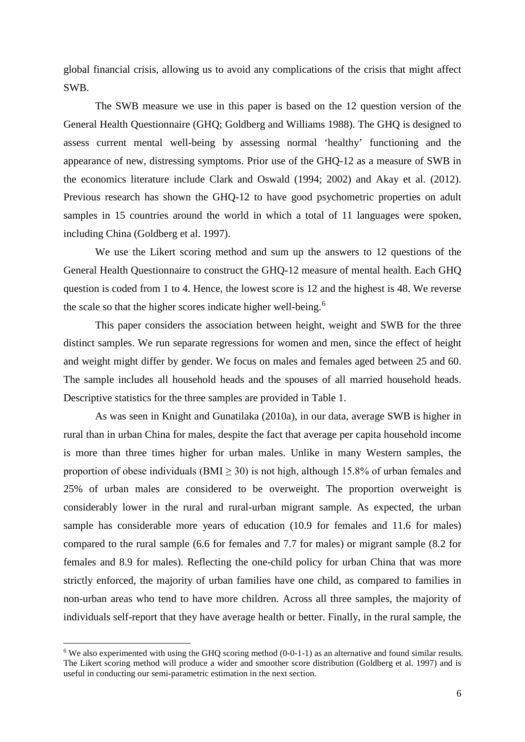global financial crisis, allowing us to avoid any complications of the crisis that might affect SWB.

The SWB measure we use in this paper is based on the 12 question version of the General Health Questionnaire (GHQ; Goldberg and Williams 1988). The GHQ is designed to assess current mental well-being by assessing normal 'healthy' functioning and the appearance of new, distressing symptoms. Prior use of the GHQ-12 as a measure of SWB in the economics literature include Clark and Oswald (1994; 2002) and Akay et al. (2012). Previous research has shown the GHQ-12 to have good psychometric properties on adult samples in 15 countries around the world in which a total of 11 languages were spoken, including China (Goldberg et al. 1997).

We use the Likert scoring method and sum up the answers to 12 questions of the General Health Questionnaire to construct the GHQ-12 measure of mental health. Each GHQ question is coded from 1 to 4. Hence, the lowest score is 12 and the highest is 48. We reverse the scale so that the higher scores indicate higher well-being.<sup>[6](#page-8-0)</sup>

This paper considers the association between height, weight and SWB for the three distinct samples. We run separate regressions for women and men, since the effect of height and weight might differ by gender. We focus on males and females aged between 25 and 60. The sample includes all household heads and the spouses of all married household heads. Descriptive statistics for the three samples are provided in Table 1.

As was seen in Knight and Gunatilaka (2010a), in our data, average SWB is higher in rural than in urban China for males, despite the fact that average per capita household income is more than three times higher for urban males. Unlike in many Western samples, the proportion of obese individuals (BMI  $\geq$  30) is not high, although 15.8% of urban females and 25% of urban males are considered to be overweight. The proportion overweight is considerably lower in the rural and rural-urban migrant sample. As expected, the urban sample has considerable more years of education (10.9 for females and 11.6 for males) compared to the rural sample (6.6 for females and 7.7 for males) or migrant sample (8.2 for females and 8.9 for males). Reflecting the one-child policy for urban China that was more strictly enforced, the majority of urban families have one child, as compared to families in non-urban areas who tend to have more children. Across all three samples, the majority of individuals self-report that they have average health or better. Finally, in the rural sample, the

**.** 

<span id="page-8-0"></span><sup>&</sup>lt;sup>6</sup> We also experimented with using the GHO scoring method  $(0-0-1-1)$  as an alternative and found similar results. The Likert scoring method will produce a wider and smoother score distribution (Goldberg et al. 1997) and is useful in conducting our semi-parametric estimation in the next section.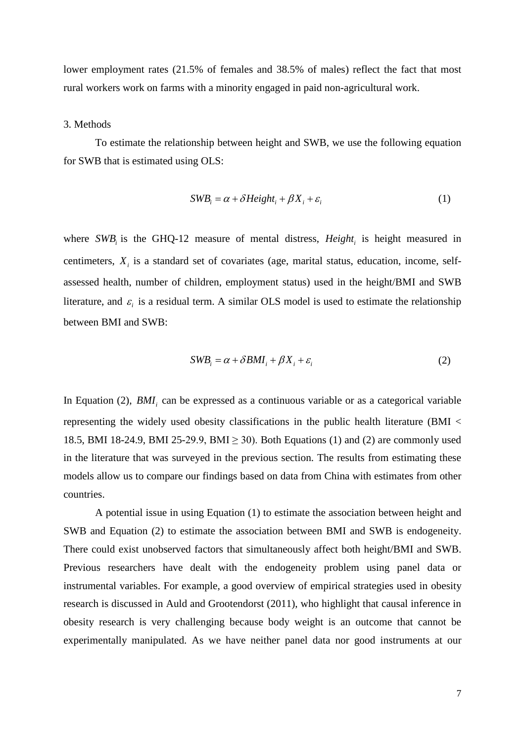lower employment rates (21.5% of females and 38.5% of males) reflect the fact that most rural workers work on farms with a minority engaged in paid non-agricultural work.

#### 3. Methods

To estimate the relationship between height and SWB, we use the following equation for SWB that is estimated using OLS:

$$
SWB_i = \alpha + \delta Height_i + \beta X_i + \varepsilon_i
$$
 (1)

where *SWB* is the GHQ-12 measure of mental distress, *Height* is height measured in centimeters,  $X_i$  is a standard set of covariates (age, marital status, education, income, selfassessed health, number of children, employment status) used in the height/BMI and SWB literature, and  $\varepsilon$  is a residual term. A similar OLS model is used to estimate the relationship between BMI and SWB:

$$
SWB_i = \alpha + \delta BMI_i + \beta X_i + \varepsilon_i \tag{2}
$$

In Equation (2),  $BMI_i$  can be expressed as a continuous variable or as a categorical variable representing the widely used obesity classifications in the public health literature (BMI < 18.5, BMI 18-24.9, BMI 25-29.9, BMI  $\geq$  30). Both Equations (1) and (2) are commonly used in the literature that was surveyed in the previous section. The results from estimating these models allow us to compare our findings based on data from China with estimates from other countries.

A potential issue in using Equation (1) to estimate the association between height and SWB and Equation (2) to estimate the association between BMI and SWB is endogeneity. There could exist unobserved factors that simultaneously affect both height/BMI and SWB. Previous researchers have dealt with the endogeneity problem using panel data or instrumental variables. For example, a good overview of empirical strategies used in obesity research is discussed in Auld and Grootendorst (2011), who highlight that causal inference in obesity research is very challenging because body weight is an outcome that cannot be experimentally manipulated. As we have neither panel data nor good instruments at our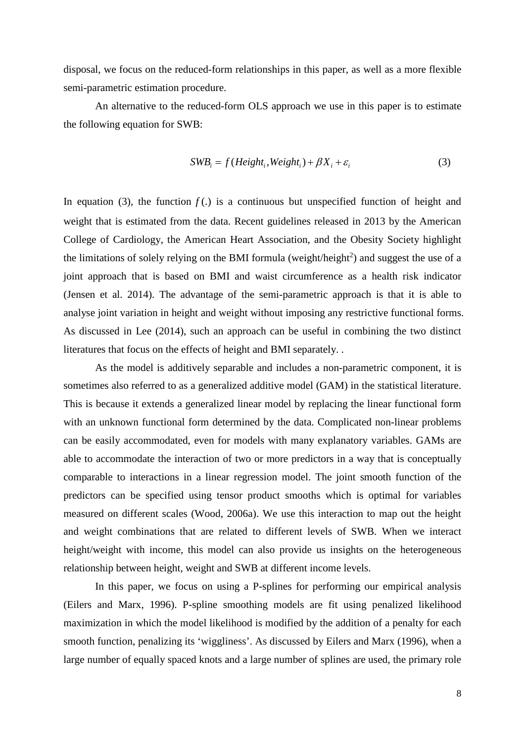disposal, we focus on the reduced-form relationships in this paper, as well as a more flexible semi-parametric estimation procedure.

An alternative to the reduced-form OLS approach we use in this paper is to estimate the following equation for SWB:

$$
SWB_i = f(Height_i, Weight_i) + \beta X_i + \varepsilon_i
$$
\n(3)

In equation (3), the function  $f(.)$  is a continuous but unspecified function of height and weight that is estimated from the data. Recent guidelines released in 2013 by the American College of Cardiology, the American Heart Association, and the Obesity Society highlight the limitations of solely relying on the BMI formula (weight/height<sup>2</sup>) and suggest the use of a joint approach that is based on BMI and waist circumference as a health risk indicator (Jensen et al. 2014). The advantage of the semi-parametric approach is that it is able to analyse joint variation in height and weight without imposing any restrictive functional forms. As discussed in Lee (2014), such an approach can be useful in combining the two distinct literatures that focus on the effects of height and BMI separately. .

As the model is additively separable and includes a non-parametric component, it is sometimes also referred to as a generalized additive model (GAM) in the statistical literature. This is because it extends a generalized linear model by replacing the linear functional form with an unknown functional form determined by the data. Complicated non-linear problems can be easily accommodated, even for models with many explanatory variables. GAMs are able to accommodate the interaction of two or more predictors in a way that is conceptually comparable to interactions in a linear regression model. The joint smooth function of the predictors can be specified using tensor product smooths which is optimal for variables measured on different scales (Wood, 2006a). We use this interaction to map out the height and weight combinations that are related to different levels of SWB. When we interact height/weight with income, this model can also provide us insights on the heterogeneous relationship between height, weight and SWB at different income levels.

In this paper, we focus on using a P-splines for performing our empirical analysis (Eilers and Marx, 1996). P-spline smoothing models are fit using penalized likelihood maximization in which the model likelihood is modified by the addition of a penalty for each smooth function, penalizing its 'wiggliness'. As discussed by Eilers and Marx (1996), when a large number of equally spaced knots and a large number of splines are used, the primary role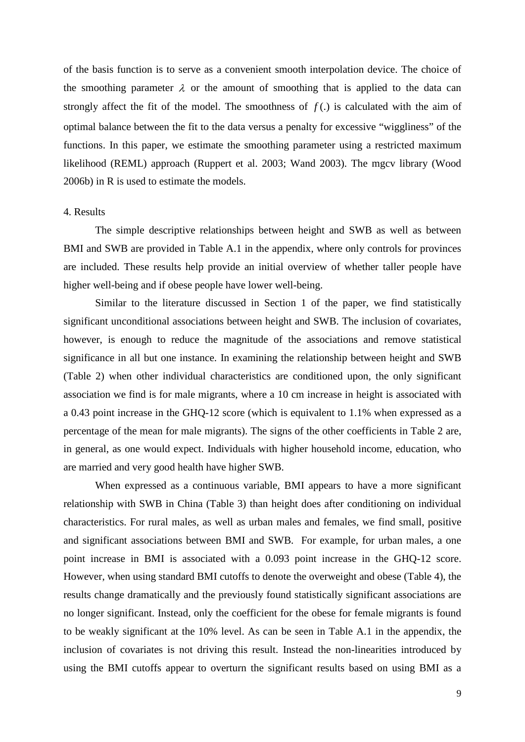of the basis function is to serve as a convenient smooth interpolation device. The choice of the smoothing parameter  $\lambda$  or the amount of smoothing that is applied to the data can strongly affect the fit of the model. The smoothness of  $f(.)$  is calculated with the aim of optimal balance between the fit to the data versus a penalty for excessive "wiggliness" of the functions. In this paper, we estimate the smoothing parameter using a restricted maximum likelihood (REML) approach (Ruppert et al. 2003; Wand 2003). The mgcv library (Wood 2006b) in R is used to estimate the models.

#### 4. Results

The simple descriptive relationships between height and SWB as well as between BMI and SWB are provided in Table A.1 in the appendix, where only controls for provinces are included. These results help provide an initial overview of whether taller people have higher well-being and if obese people have lower well-being.

Similar to the literature discussed in Section 1 of the paper, we find statistically significant unconditional associations between height and SWB. The inclusion of covariates, however, is enough to reduce the magnitude of the associations and remove statistical significance in all but one instance. In examining the relationship between height and SWB (Table 2) when other individual characteristics are conditioned upon, the only significant association we find is for male migrants, where a 10 cm increase in height is associated with a 0.43 point increase in the GHQ-12 score (which is equivalent to 1.1% when expressed as a percentage of the mean for male migrants). The signs of the other coefficients in Table 2 are, in general, as one would expect. Individuals with higher household income, education, who are married and very good health have higher SWB.

When expressed as a continuous variable, BMI appears to have a more significant relationship with SWB in China (Table 3) than height does after conditioning on individual characteristics. For rural males, as well as urban males and females, we find small, positive and significant associations between BMI and SWB. For example, for urban males, a one point increase in BMI is associated with a 0.093 point increase in the GHQ-12 score. However, when using standard BMI cutoffs to denote the overweight and obese (Table 4), the results change dramatically and the previously found statistically significant associations are no longer significant. Instead, only the coefficient for the obese for female migrants is found to be weakly significant at the 10% level. As can be seen in Table A.1 in the appendix, the inclusion of covariates is not driving this result. Instead the non-linearities introduced by using the BMI cutoffs appear to overturn the significant results based on using BMI as a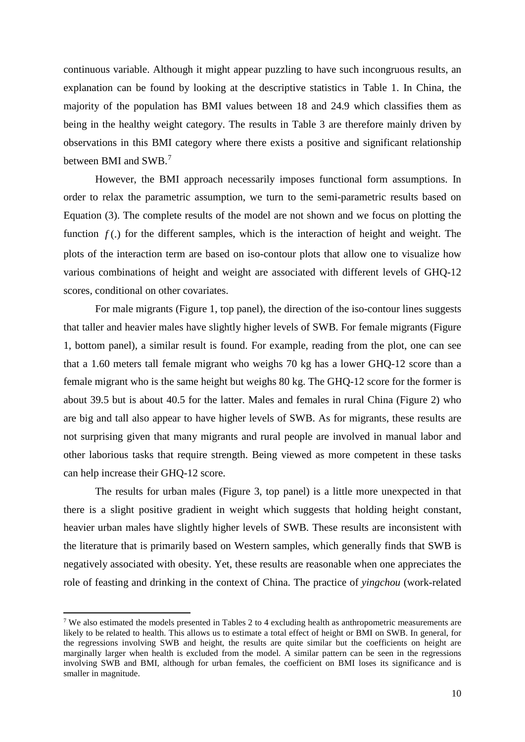continuous variable. Although it might appear puzzling to have such incongruous results, an explanation can be found by looking at the descriptive statistics in Table 1. In China, the majority of the population has BMI values between 18 and 24.9 which classifies them as being in the healthy weight category. The results in Table 3 are therefore mainly driven by observations in this BMI category where there exists a positive and significant relationship between BMI and SWB.[7](#page-12-0)

However, the BMI approach necessarily imposes functional form assumptions. In order to relax the parametric assumption, we turn to the semi-parametric results based on Equation (3). The complete results of the model are not shown and we focus on plotting the function  $f(.)$  for the different samples, which is the interaction of height and weight. The plots of the interaction term are based on iso-contour plots that allow one to visualize how various combinations of height and weight are associated with different levels of GHQ-12 scores, conditional on other covariates.

For male migrants (Figure 1, top panel), the direction of the iso-contour lines suggests that taller and heavier males have slightly higher levels of SWB. For female migrants (Figure 1, bottom panel), a similar result is found. For example, reading from the plot, one can see that a 1.60 meters tall female migrant who weighs 70 kg has a lower GHQ-12 score than a female migrant who is the same height but weighs 80 kg. The GHQ-12 score for the former is about 39.5 but is about 40.5 for the latter. Males and females in rural China (Figure 2) who are big and tall also appear to have higher levels of SWB. As for migrants, these results are not surprising given that many migrants and rural people are involved in manual labor and other laborious tasks that require strength. Being viewed as more competent in these tasks can help increase their GHQ-12 score.

The results for urban males (Figure 3, top panel) is a little more unexpected in that there is a slight positive gradient in weight which suggests that holding height constant, heavier urban males have slightly higher levels of SWB. These results are inconsistent with the literature that is primarily based on Western samples, which generally finds that SWB is negatively associated with obesity. Yet, these results are reasonable when one appreciates the role of feasting and drinking in the context of China. The practice of *yingchou* (work-related

**.** 

<span id="page-12-0"></span><sup>7</sup> We also estimated the models presented in Tables 2 to 4 excluding health as anthropometric measurements are likely to be related to health. This allows us to estimate a total effect of height or BMI on SWB. In general, for the regressions involving SWB and height, the results are quite similar but the coefficients on height are marginally larger when health is excluded from the model. A similar pattern can be seen in the regressions involving SWB and BMI, although for urban females, the coefficient on BMI loses its significance and is smaller in magnitude.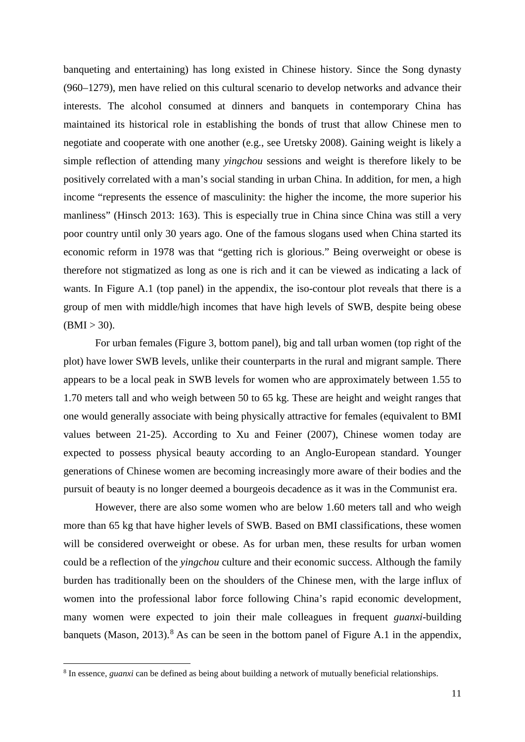banqueting and entertaining) has long existed in Chinese history. Since the Song dynasty (960–1279), men have relied on this cultural scenario to develop networks and advance their interests. The alcohol consumed at dinners and banquets in contemporary China has maintained its historical role in establishing the bonds of trust that allow Chinese men to negotiate and cooperate with one another (e.g., see Uretsky 2008). Gaining weight is likely a simple reflection of attending many *yingchou* sessions and weight is therefore likely to be positively correlated with a man's social standing in urban China. In addition, for men, a high income "represents the essence of masculinity: the higher the income, the more superior his manliness" (Hinsch 2013: 163). This is especially true in China since China was still a very poor country until only 30 years ago. One of the famous slogans used when China started its economic reform in 1978 was that "getting rich is glorious." Being overweight or obese is therefore not stigmatized as long as one is rich and it can be viewed as indicating a lack of wants. In Figure A.1 (top panel) in the appendix, the iso-contour plot reveals that there is a group of men with middle/high incomes that have high levels of SWB, despite being obese  $(BMI > 30)$ .

For urban females (Figure 3, bottom panel), big and tall urban women (top right of the plot) have lower SWB levels, unlike their counterparts in the rural and migrant sample. There appears to be a local peak in SWB levels for women who are approximately between 1.55 to 1.70 meters tall and who weigh between 50 to 65 kg. These are height and weight ranges that one would generally associate with being physically attractive for females (equivalent to BMI values between 21-25). According to Xu and Feiner (2007), Chinese women today are expected to possess physical beauty according to an Anglo-European standard. Younger generations of Chinese women are becoming increasingly more aware of their bodies and the pursuit of beauty is no longer deemed a bourgeois decadence as it was in the Communist era.

However, there are also some women who are below 1.60 meters tall and who weigh more than 65 kg that have higher levels of SWB. Based on BMI classifications, these women will be considered overweight or obese. As for urban men, these results for urban women could be a reflection of the *yingchou* culture and their economic success. Although the family burden has traditionally been on the shoulders of the Chinese men, with the large influx of women into the professional labor force following China's rapid economic development, many women were expected to join their male colleagues in frequent *guanxi*-building banquets (Mason, 2013).<sup>[8](#page-13-0)</sup> As can be seen in the bottom panel of Figure A.1 in the appendix,

1

<span id="page-13-0"></span><sup>8</sup> In essence, *guanxi* can be defined as being about building a network of mutually beneficial relationships.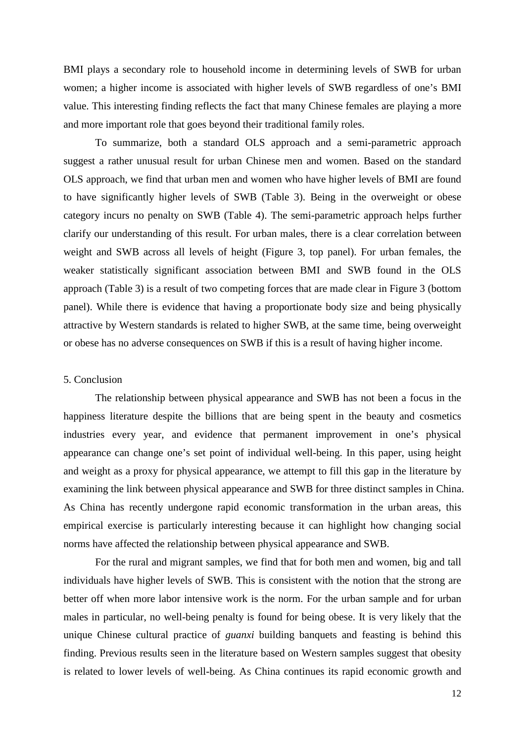BMI plays a secondary role to household income in determining levels of SWB for urban women; a higher income is associated with higher levels of SWB regardless of one's BMI value. This interesting finding reflects the fact that many Chinese females are playing a more and more important role that goes beyond their traditional family roles.

To summarize, both a standard OLS approach and a semi-parametric approach suggest a rather unusual result for urban Chinese men and women. Based on the standard OLS approach, we find that urban men and women who have higher levels of BMI are found to have significantly higher levels of SWB (Table 3). Being in the overweight or obese category incurs no penalty on SWB (Table 4). The semi-parametric approach helps further clarify our understanding of this result. For urban males, there is a clear correlation between weight and SWB across all levels of height (Figure 3, top panel). For urban females, the weaker statistically significant association between BMI and SWB found in the OLS approach (Table 3) is a result of two competing forces that are made clear in Figure 3 (bottom panel). While there is evidence that having a proportionate body size and being physically attractive by Western standards is related to higher SWB, at the same time, being overweight or obese has no adverse consequences on SWB if this is a result of having higher income.

#### 5. Conclusion

The relationship between physical appearance and SWB has not been a focus in the happiness literature despite the billions that are being spent in the beauty and cosmetics industries every year, and evidence that permanent improvement in one's physical appearance can change one's set point of individual well-being. In this paper, using height and weight as a proxy for physical appearance, we attempt to fill this gap in the literature by examining the link between physical appearance and SWB for three distinct samples in China. As China has recently undergone rapid economic transformation in the urban areas, this empirical exercise is particularly interesting because it can highlight how changing social norms have affected the relationship between physical appearance and SWB.

For the rural and migrant samples, we find that for both men and women, big and tall individuals have higher levels of SWB. This is consistent with the notion that the strong are better off when more labor intensive work is the norm. For the urban sample and for urban males in particular, no well-being penalty is found for being obese. It is very likely that the unique Chinese cultural practice of *guanxi* building banquets and feasting is behind this finding. Previous results seen in the literature based on Western samples suggest that obesity is related to lower levels of well-being. As China continues its rapid economic growth and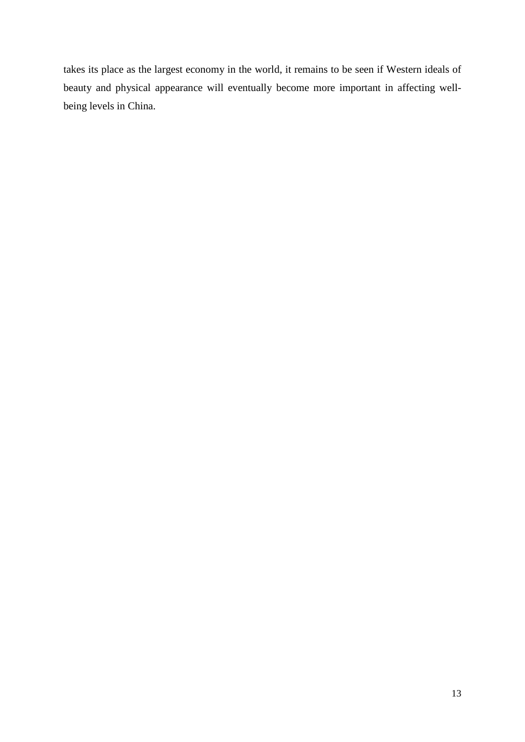takes its place as the largest economy in the world, it remains to be seen if Western ideals of beauty and physical appearance will eventually become more important in affecting wellbeing levels in China.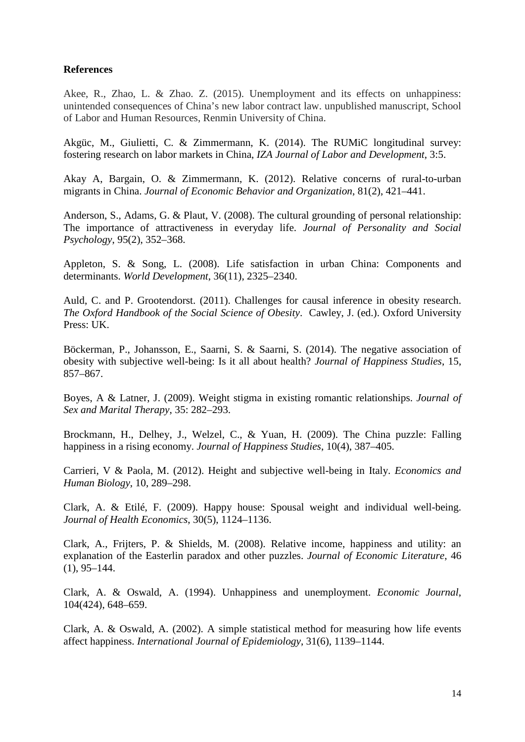### **References**

Akee, R., Zhao, L. & Zhao. Z. (2015). Unemployment and its effects on unhappiness: unintended consequences of China's new labor contract law. unpublished manuscript, School of Labor and Human Resources, Renmin University of China.

Akgüc, M., Giulietti, C. & Zimmermann, K. (2014). The RUMiC longitudinal survey: fostering research on labor markets in China, *IZA Journal of Labor and Development*, 3:5.

Akay A, Bargain, O. & Zimmermann, K. (2012). Relative concerns of rural-to-urban migrants in China. *Journal of Economic Behavior and Organization*, 81(2), 421–441.

Anderson, S., Adams, G. & Plaut, V. (2008). The cultural grounding of personal relationship: The importance of attractiveness in everyday life. *Journal of Personality and Social Psychology*, 95(2), 352–368.

Appleton, S. & Song, L. (2008). Life satisfaction in urban China: Components and determinants. *World Development*, 36(11), 2325–2340.

Auld, C. and P. Grootendorst. (2011). Challenges for causal inference in obesity research. *The Oxford Handbook of the Social Science of Obesity*. Cawley, J. (ed.). Oxford University Press: UK.

Böckerman, P., Johansson, E., Saarni, S. & Saarni, S. (2014). The negative association of obesity with subjective well-being: Is it all about health? *Journal of Happiness Studies*, 15, 857–867.

Boyes, A & Latner, J. (2009). Weight stigma in existing romantic relationships. *Journal of Sex and Marital Therapy*, 35: 282–293.

Brockmann, H., Delhey, J., Welzel, C., & Yuan, H. (2009). The China puzzle: Falling happiness in a rising economy. *Journal of Happiness Studies*, 10(4), 387–405.

Carrieri, V & Paola, M. (2012). Height and subjective well-being in Italy. *Economics and Human Biology*, 10, 289–298.

Clark, A. & Etilé, F. (2009). Happy house: Spousal weight and individual well-being. *Journal of Health Economics*, 30(5), 1124–1136.

Clark, A., Frijters, P. & Shields, M. (2008). Relative income, happiness and utility: an explanation of the Easterlin paradox and other puzzles. *Journal of Economic Literature*, 46  $(1), 95-144.$ 

Clark, A. & Oswald, A. (1994). Unhappiness and unemployment. *Economic Journal*, 104(424), 648–659.

Clark, A. & Oswald, A. (2002). A simple statistical method for measuring how life events affect happiness. *International Journal of Epidemiology*, 31(6), 1139–1144.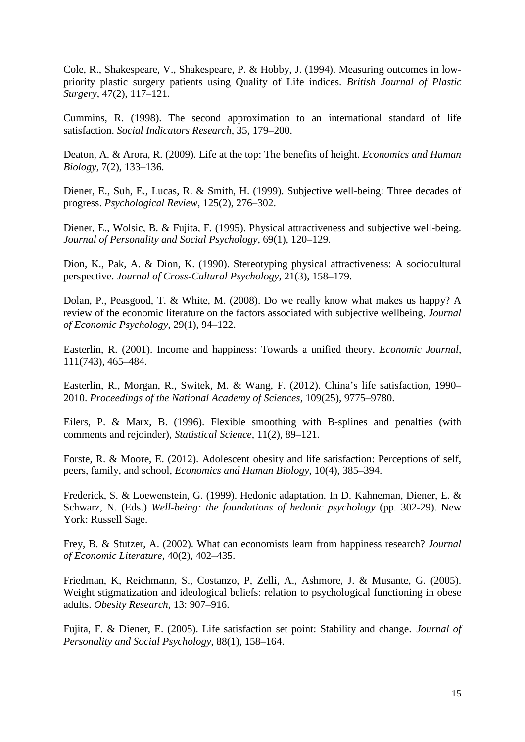Cole, R., Shakespeare, V., Shakespeare, P. & Hobby, J. (1994). Measuring outcomes in lowpriority plastic surgery patients using Quality of Life indices. *British Journal of Plastic Surgery*, 47(2), 117–121.

Cummins, R. (1998). The second approximation to an international standard of life satisfaction. *Social Indicators Research*, 35, 179–200.

Deaton, A. & Arora, R. (2009). Life at the top: The benefits of height. *Economics and Human Biology*, 7(2), 133–136.

Diener, E., Suh, E., Lucas, R. & Smith, H. (1999). Subjective well-being: Three decades of progress. *Psychological Review*, 125(2), 276–302.

Diener, E., Wolsic, B. & Fujita, F. (1995). Physical attractiveness and subjective well-being. *Journal of Personality and Social Psychology*, 69(1), 120–129.

Dion, K., Pak, A. & Dion, K. (1990). Stereotyping physical attractiveness: A sociocultural perspective. *Journal of Cross-Cultural Psychology*, 21(3), 158–179.

Dolan, P., Peasgood, T. & White, M. (2008). Do we really know what makes us happy? A review of the economic literature on the factors associated with subjective wellbeing. *Journal of Economic Psychology*, 29(1), 94–122.

Easterlin, R. (2001). Income and happiness: Towards a unified theory. *Economic Journal*, 111(743), 465–484.

Easterlin, R., Morgan, R., Switek, M. & Wang, F. (2012). China's life satisfaction, 1990– 2010. *Proceedings of the National Academy of Sciences*, 109(25), 9775–9780.

Eilers, P. & Marx, B. (1996). Flexible smoothing with B-splines and penalties (with comments and rejoinder), *Statistical Science*, 11(2), 89–121.

Forste, R. & Moore, E. (2012). Adolescent obesity and life satisfaction: Perceptions of self, peers, family, and school, *Economics and Human Biology*, 10(4), 385–394.

Frederick, S. & Loewenstein, G. (1999). Hedonic adaptation. In D. Kahneman, Diener, E. & Schwarz, N. (Eds.) *Well-being: the foundations of hedonic psychology* (pp. 302-29). New York: Russell Sage.

Frey, B. & Stutzer, A. (2002). What can economists learn from happiness research? *Journal of Economic Literature*, 40(2), 402–435.

Friedman, K, Reichmann, S., Costanzo, P, Zelli, A., Ashmore, J. & Musante, G. (2005). Weight stigmatization and ideological beliefs: relation to psychological functioning in obese adults. *Obesity Research*, 13: 907–916.

Fujita, F. & Diener, E. (2005). Life satisfaction set point: Stability and change. *Journal of Personality and Social Psychology*, 88(1), 158–164.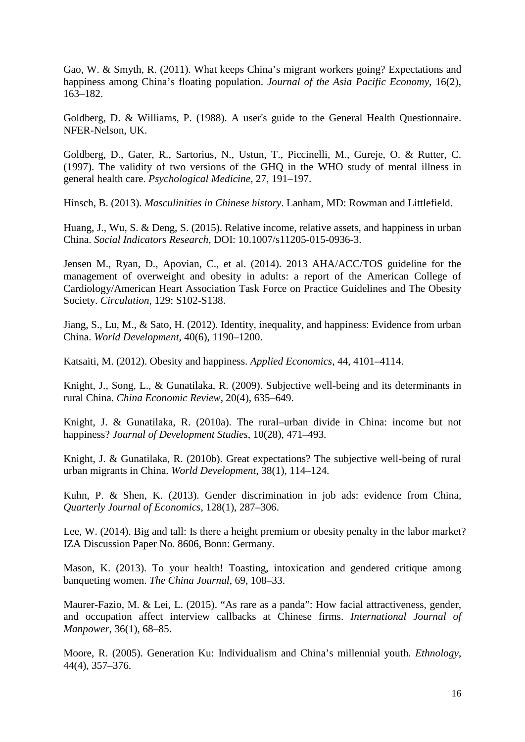Gao, W. & Smyth, R. (2011). What keeps China's migrant workers going? Expectations and happiness among China's floating population. *Journal of the Asia Pacific Economy*, 16(2), 163–182.

Goldberg, D. & Williams, P. (1988). A user's guide to the General Health Questionnaire. NFER-Nelson, UK.

Goldberg, D., Gater, R., Sartorius, N., Ustun, T., Piccinelli, M., Gureje, O. & Rutter, C. (1997). The validity of two versions of the GHQ in the WHO study of mental illness in general health care. *Psychological Medicine*, 27, 191–197.

Hinsch, B. (2013). *Masculinities in Chinese history*. Lanham, MD: Rowman and Littlefield.

Huang, J., Wu, S. & Deng, S. (2015). Relative income, relative assets, and happiness in urban China. *Social Indicators Research*, DOI: 10.1007/s11205-015-0936-3.

Jensen M., Ryan, D., Apovian, C., et al. (2014). 2013 AHA/ACC/TOS guideline for the management of overweight and obesity in adults: a report of the American College of Cardiology/American Heart Association Task Force on Practice Guidelines and The Obesity Society. *Circulation*, 129: S102-S138.

Jiang, S., Lu, M., & Sato, H. (2012). Identity, inequality, and happiness: Evidence from urban China. *World Development*, 40(6), 1190–1200.

Katsaiti, M. (2012). Obesity and happiness. *Applied Economics*, 44, 4101–4114.

Knight, J., Song, L., & Gunatilaka, R. (2009). Subjective well-being and its determinants in rural China. *China Economic Review*, 20(4), 635–649.

Knight, J. & Gunatilaka, R. (2010a). The rural–urban divide in China: income but not happiness? *Journal of Development Studies*, 10(28), 471–493.

Knight, J. & Gunatilaka, R. (2010b). Great expectations? The subjective well-being of rural urban migrants in China. *World Development*, 38(1), 114–124.

Kuhn, P. & Shen, K. (2013). Gender discrimination in job ads: evidence from China, *Quarterly Journal of Economics*, 128(1), 287–306.

Lee, W. (2014). Big and tall: Is there a height premium or obesity penalty in the labor market? IZA Discussion Paper No. 8606, Bonn: Germany.

Mason, K. (2013). To your health! Toasting, intoxication and gendered critique among banqueting women. *The China Journal*, 69, 108–33.

Maurer-Fazio, M. & Lei, L. (2015). "As rare as a panda": How facial attractiveness, gender, and occupation affect interview callbacks at Chinese firms. *International Journal of Manpower*, 36(1), 68–85.

Moore, R. (2005). Generation Ku: Individualism and China's millennial youth. *Ethnology*, 44(4), 357–376.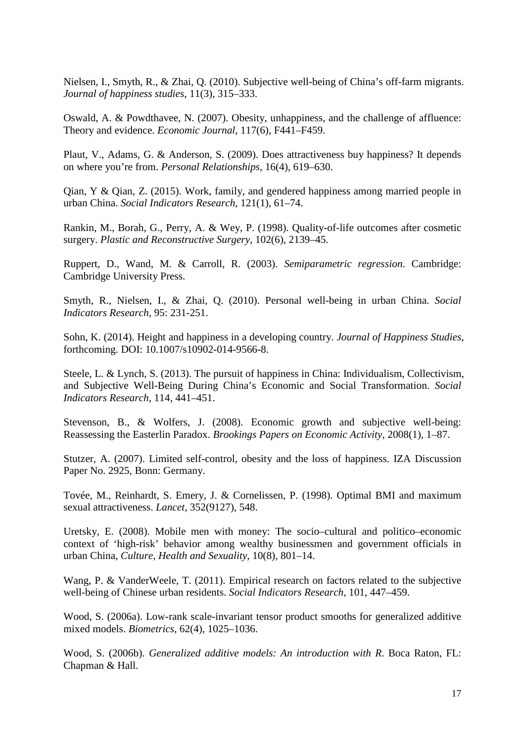Nielsen, I., Smyth, R., & Zhai, Q. (2010). Subjective well-being of China's off-farm migrants. *Journal of happiness studies*, 11(3), 315–333.

Oswald, A. & Powdthavee, N. (2007). Obesity, unhappiness, and the challenge of affluence: Theory and evidence. *Economic Journal*, 117(6), F441–F459.

Plaut, V., Adams, G. & Anderson, S. (2009). Does attractiveness buy happiness? It depends on where you're from. *Personal Relationships*, 16(4), 619–630.

Qian, Y & Qian, Z. (2015). Work, family, and gendered happiness among married people in urban China. *Social Indicators Research*, 121(1), 61–74.

Rankin, M., Borah, G., Perry, A. & Wey, P. (1998). Quality-of-life outcomes after cosmetic surgery. *Plastic and Reconstructive Surgery*, 102(6), 2139–45.

Ruppert, D., Wand, M. & Carroll, R. (2003). *Semiparametric regression*. Cambridge: Cambridge University Press.

Smyth, R., Nielsen, I., & Zhai, Q. (2010). Personal well-being in urban China. *Social Indicators Research*, 95: 231-251.

Sohn, K. (2014). Height and happiness in a developing country. *Journal of Happiness Studies*, forthcoming. DOI: 10.1007/s10902-014-9566-8.

Steele, L. & Lynch, S. (2013). The pursuit of happiness in China: Individualism, Collectivism, and Subjective Well-Being During China's Economic and Social Transformation. *Social Indicators Research*, 114, 441–451.

Stevenson, B., & Wolfers, J. (2008). Economic growth and subjective well-being: Reassessing the Easterlin Paradox. *Brookings Papers on Economic Activity*, 2008(1), 1–87.

Stutzer, A. (2007). Limited self-control, obesity and the loss of happiness. IZA Discussion Paper No. 2925, Bonn: Germany.

Tovée, M., Reinhardt, S. Emery, J. & Cornelissen, P. (1998). Optimal BMI and maximum sexual attractiveness. *Lancet*, 352(9127), 548.

Uretsky, E. (2008). Mobile men with money: The socio–cultural and politico–economic context of 'high-risk' behavior among wealthy businessmen and government officials in urban China, *Culture, Health and Sexuality*, 10(8), 801–14.

Wang, P. & VanderWeele, T. (2011). Empirical research on factors related to the subjective well-being of Chinese urban residents. *Social Indicators Research*, 101, 447–459.

Wood, S. (2006a). Low-rank scale-invariant tensor product smooths for generalized additive mixed models. *Biometrics*, 62(4), 1025–1036.

Wood, S. (2006b). *Generalized additive models: An introduction with R*. Boca Raton, FL: Chapman & Hall.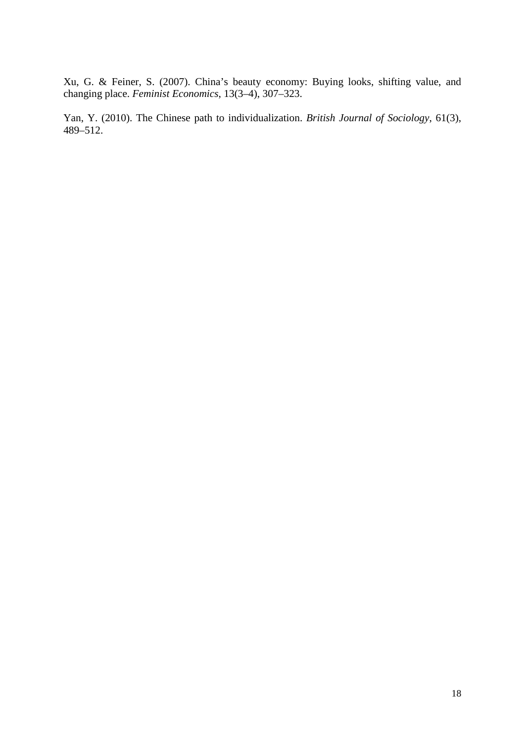Xu, G. & Feiner, S. (2007). China's beauty economy: Buying looks, shifting value, and changing place. *Feminist Economics*, 13(3–4), 307–323.

Yan, Y. (2010). The Chinese path to individualization. *British Journal of Sociology*, 61(3), 489–512.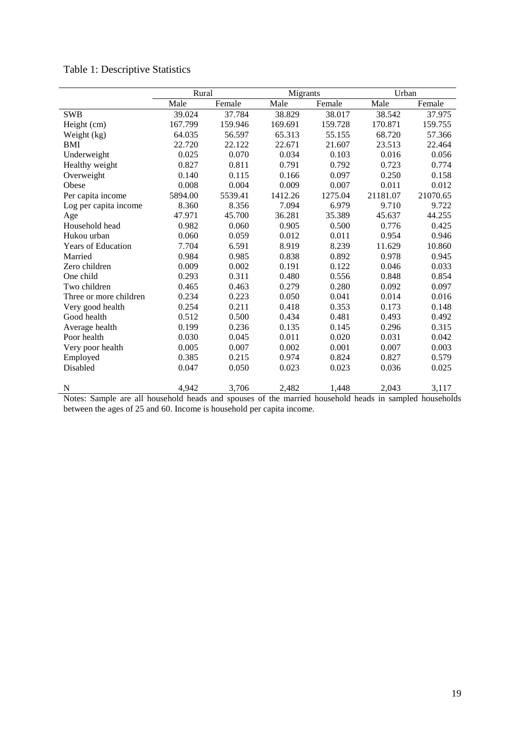|                           | Rural   |         | Migrants |         | Urban    |          |
|---------------------------|---------|---------|----------|---------|----------|----------|
|                           | Male    | Female  | Male     | Female  | Male     | Female   |
| <b>SWB</b>                | 39.024  | 37.784  | 38.829   | 38.017  | 38.542   | 37.975   |
| Height (cm)               | 167.799 | 159.946 | 169.691  | 159.728 | 170.871  | 159.755  |
| Weight (kg)               | 64.035  | 56.597  | 65.313   | 55.155  | 68.720   | 57.366   |
| <b>BMI</b>                | 22.720  | 22.122  | 22.671   | 21.607  | 23.513   | 22.464   |
| Underweight               | 0.025   | 0.070   | 0.034    | 0.103   | 0.016    | 0.056    |
| Healthy weight            | 0.827   | 0.811   | 0.791    | 0.792   | 0.723    | 0.774    |
| Overweight                | 0.140   | 0.115   | 0.166    | 0.097   | 0.250    | 0.158    |
| Obese                     | 0.008   | 0.004   | 0.009    | 0.007   | 0.011    | 0.012    |
| Per capita income         | 5894.00 | 5539.41 | 1412.26  | 1275.04 | 21181.07 | 21070.65 |
| Log per capita income     | 8.360   | 8.356   | 7.094    | 6.979   | 9.710    | 9.722    |
| Age                       | 47.971  | 45.700  | 36.281   | 35.389  | 45.637   | 44.255   |
| Household head            | 0.982   | 0.060   | 0.905    | 0.500   | 0.776    | 0.425    |
| Hukou urban               | 0.060   | 0.059   | 0.012    | 0.011   | 0.954    | 0.946    |
| <b>Years of Education</b> | 7.704   | 6.591   | 8.919    | 8.239   | 11.629   | 10.860   |
| Married                   | 0.984   | 0.985   | 0.838    | 0.892   | 0.978    | 0.945    |
| Zero children             | 0.009   | 0.002   | 0.191    | 0.122   | 0.046    | 0.033    |
| One child                 | 0.293   | 0.311   | 0.480    | 0.556   | 0.848    | 0.854    |
| Two children              | 0.465   | 0.463   | 0.279    | 0.280   | 0.092    | 0.097    |
| Three or more children    | 0.234   | 0.223   | 0.050    | 0.041   | 0.014    | 0.016    |
| Very good health          | 0.254   | 0.211   | 0.418    | 0.353   | 0.173    | 0.148    |
| Good health               | 0.512   | 0.500   | 0.434    | 0.481   | 0.493    | 0.492    |
| Average health            | 0.199   | 0.236   | 0.135    | 0.145   | 0.296    | 0.315    |
| Poor health               | 0.030   | 0.045   | 0.011    | 0.020   | 0.031    | 0.042    |
| Very poor health          | 0.005   | 0.007   | 0.002    | 0.001   | 0.007    | 0.003    |
| Employed                  | 0.385   | 0.215   | 0.974    | 0.824   | 0.827    | 0.579    |
| Disabled                  | 0.047   | 0.050   | 0.023    | 0.023   | 0.036    | 0.025    |
| N                         | 4,942   | 3,706   | 2,482    | 1,448   | 2,043    | 3,117    |

# Table 1: Descriptive Statistics

Notes: Sample are all household heads and spouses of the married household heads in sampled households between the ages of 25 and 60. Income is household per capita income.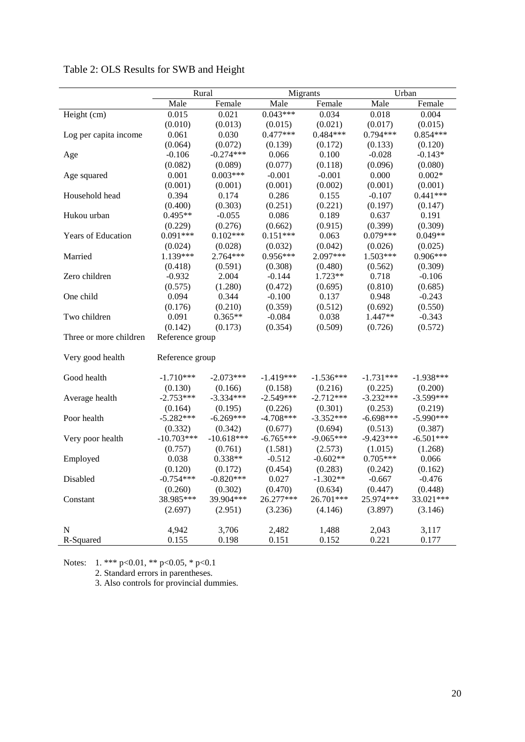|                        | Rural           |              | Migrants    |             | Urban       |             |
|------------------------|-----------------|--------------|-------------|-------------|-------------|-------------|
|                        | Male            | Female       | Male        | Female      | Male        | Female      |
| Height (cm)            | 0.015           | 0.021        | $0.043***$  | 0.034       | 0.018       | 0.004       |
|                        | (0.010)         | (0.013)      | (0.015)     | (0.021)     | (0.017)     | (0.015)     |
| Log per capita income  | 0.061           | 0.030        | $0.477***$  | $0.484***$  | $0.794***$  | $0.854***$  |
|                        | (0.064)         | (0.072)      | (0.139)     | (0.172)     | (0.133)     | (0.120)     |
| Age                    | $-0.106$        | $-0.274***$  | 0.066       | 0.100       | $-0.028$    | $-0.143*$   |
|                        | (0.082)         | (0.089)      | (0.077)     | (0.118)     | (0.096)     | (0.080)     |
| Age squared            | 0.001           | $0.003***$   | $-0.001$    | $-0.001$    | 0.000       | $0.002*$    |
|                        | (0.001)         | (0.001)      | (0.001)     | (0.002)     | (0.001)     | (0.001)     |
| Household head         | 0.394           | 0.174        | 0.286       | 0.155       | $-0.107$    | $0.441***$  |
|                        | (0.400)         | (0.303)      | (0.251)     | (0.221)     | (0.197)     | (0.147)     |
| Hukou urban            | $0.495**$       | $-0.055$     | 0.086       | 0.189       | 0.637       | 0.191       |
|                        | (0.229)         | (0.276)      | (0.662)     | (0.915)     | (0.399)     | (0.309)     |
| Years of Education     | $0.091***$      | $0.102***$   | $0.151***$  | 0.063       | $0.079***$  | $0.049**$   |
|                        | (0.024)         | (0.028)      | (0.032)     | (0.042)     | (0.026)     | (0.025)     |
| Married                | 1.139***        | $2.764***$   | $0.956***$  | 2.097***    | $1.503***$  | $0.906***$  |
|                        | (0.418)         | (0.591)      | (0.308)     | (0.480)     | (0.562)     | (0.309)     |
| Zero children          | $-0.932$        | 2.004        | $-0.144$    | $1.723**$   | 0.718       | $-0.106$    |
|                        | (0.575)         | (1.280)      | (0.472)     | (0.695)     | (0.810)     | (0.685)     |
| One child              | 0.094           | 0.344        | $-0.100$    | 0.137       | 0.948       | $-0.243$    |
|                        | (0.176)         | (0.210)      | (0.359)     | (0.512)     | (0.692)     | (0.550)     |
| Two children           | 0.091           | $0.365**$    | $-0.084$    | 0.038       | 1.447**     | $-0.343$    |
|                        | (0.142)         | (0.173)      | (0.354)     | (0.509)     | (0.726)     | (0.572)     |
| Three or more children | Reference group |              |             |             |             |             |
|                        |                 |              |             |             |             |             |
| Very good health       | Reference group |              |             |             |             |             |
| Good health            | $-1.710***$     | $-2.073***$  | $-1.419***$ | $-1.536***$ | $-1.731***$ | $-1.938***$ |
|                        | (0.130)         | (0.166)      | (0.158)     | (0.216)     | (0.225)     | (0.200)     |
| Average health         | $-2.753***$     | $-3.334***$  | $-2.549***$ | $-2.712***$ | $-3.232***$ | $-3.599***$ |
|                        | (0.164)         | (0.195)      | (0.226)     | (0.301)     | (0.253)     | (0.219)     |
| Poor health            | $-5.282***$     | $-6.269***$  | $-4.708***$ | $-3.352***$ | $-6.698***$ | $-5.990***$ |
|                        | (0.332)         | (0.342)      | (0.677)     | (0.694)     | (0.513)     | (0.387)     |
| Very poor health       | $-10.703***$    | $-10.618***$ | $-6.765***$ | $-9.065***$ | $-9.423***$ | $-6.501***$ |
|                        | (0.757)         | (0.761)      | (1.581)     | (2.573)     | (1.015)     | (1.268)     |
| Employed               | 0.038           | $0.338**$    | $-0.512$    | $-0.602**$  | $0.705***$  | 0.066       |
|                        | (0.120)         | (0.172)      | (0.454)     | (0.283)     | (0.242)     | (0.162)     |
| Disabled               | $-0.754***$     | $-0.820***$  | 0.027       | $-1.302**$  | $-0.667$    | $-0.476$    |
|                        | (0.260)         | (0.302)      | (0.470)     | (0.634)     | (0.447)     | (0.448)     |
| Constant               | 38.985***       | 39.904***    | 26.277***   | 26.701***   | 25.974***   | 33.021***   |
|                        | (2.697)         | (2.951)      | (3.236)     | (4.146)     | (3.897)     | (3.146)     |
|                        |                 |              |             |             |             |             |
| $\mathbf N$            | 4,942           | 3,706        | 2,482       | 1,488       | 2,043       | 3,117       |
| R-Squared              | 0.155           | 0.198        | 0.151       | 0.152       | 0.221       | 0.177       |

Table 2: OLS Results for SWB and Height

Notes: 1. \*\*\* p<0.01, \*\* p<0.05, \* p<0.1

2. Standard errors in parentheses.

3. Also controls for provincial dummies.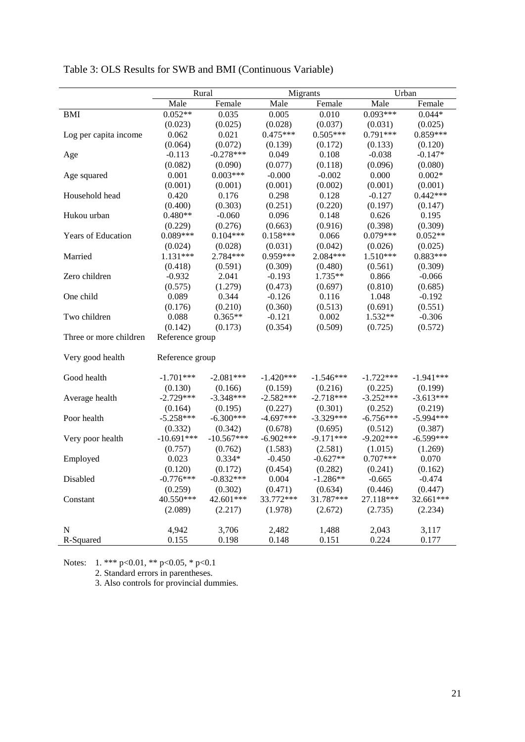|                        | Rural           |              | Migrants    |             | Urban       |             |
|------------------------|-----------------|--------------|-------------|-------------|-------------|-------------|
|                        | Male            | Female       | Male        | Female      | Male        | Female      |
| <b>BMI</b>             | $0.052**$       | 0.035        | 0.005       | 0.010       | $0.093***$  | $0.044*$    |
|                        | (0.023)         | (0.025)      | (0.028)     | (0.037)     | (0.031)     | (0.025)     |
| Log per capita income  | 0.062           | 0.021        | $0.475***$  | $0.505***$  | $0.791***$  | $0.859***$  |
|                        | (0.064)         | (0.072)      | (0.139)     | (0.172)     | (0.133)     | (0.120)     |
| Age                    | $-0.113$        | $-0.278***$  | 0.049       | 0.108       | $-0.038$    | $-0.147*$   |
|                        | (0.082)         | (0.090)      | (0.077)     | (0.118)     | (0.096)     | (0.080)     |
| Age squared            | 0.001           | $0.003***$   | $-0.000$    | $-0.002$    | 0.000       | $0.002*$    |
|                        | (0.001)         | (0.001)      | (0.001)     | (0.002)     | (0.001)     | (0.001)     |
| Household head         | 0.420           | 0.176        | 0.298       | 0.128       | $-0.127$    | $0.442***$  |
|                        | (0.400)         | (0.303)      | (0.251)     | (0.220)     | (0.197)     | (0.147)     |
| Hukou urban            | $0.480**$       | $-0.060$     | 0.096       | 0.148       | 0.626       | 0.195       |
|                        | (0.229)         | (0.276)      | (0.663)     | (0.916)     | (0.398)     | (0.309)     |
| Years of Education     | $0.089***$      | $0.104***$   | $0.158***$  | 0.066       | $0.079***$  | $0.052**$   |
|                        | (0.024)         | (0.028)      | (0.031)     | (0.042)     | (0.026)     | (0.025)     |
| Married                | $1.131***$      | 2.784***     | $0.959***$  | 2.084***    | 1.510***    | $0.883***$  |
|                        | (0.418)         | (0.591)      | (0.309)     | (0.480)     | (0.561)     | (0.309)     |
| Zero children          | $-0.932$        | 2.041        | $-0.193$    | 1.735**     | 0.866       | $-0.066$    |
|                        | (0.575)         | (1.279)      | (0.473)     | (0.697)     | (0.810)     | (0.685)     |
| One child              | 0.089           | 0.344        | $-0.126$    | 0.116       | 1.048       | $-0.192$    |
|                        | (0.176)         | (0.210)      | (0.360)     | (0.513)     | (0.691)     | (0.551)     |
| Two children           | 0.088           | $0.365**$    | $-0.121$    | 0.002       | 1.532**     | $-0.306$    |
|                        | (0.142)         | (0.173)      | (0.354)     | (0.509)     | (0.725)     | (0.572)     |
| Three or more children | Reference group |              |             |             |             |             |
|                        |                 |              |             |             |             |             |
| Very good health       | Reference group |              |             |             |             |             |
|                        |                 |              |             |             |             |             |
| Good health            | $-1.701***$     | $-2.081***$  | $-1.420***$ | $-1.546***$ | $-1.722***$ | $-1.941***$ |
|                        | (0.130)         | (0.166)      | (0.159)     | (0.216)     | (0.225)     | (0.199)     |
| Average health         | $-2.729***$     | $-3.348***$  | $-2.582***$ | $-2.718***$ | $-3.252***$ | $-3.613***$ |
|                        | (0.164)         | (0.195)      | (0.227)     | (0.301)     | (0.252)     | (0.219)     |
| Poor health            | $-5.258***$     | $-6.300***$  | $-4.697***$ | $-3.329***$ | $-6.756***$ | $-5.994***$ |
|                        | (0.332)         | (0.342)      | (0.678)     | (0.695)     | (0.512)     | (0.387)     |
| Very poor health       | $-10.691***$    | $-10.567***$ | $-6.902***$ | $-9.171***$ | $-9.202***$ | $-6.599***$ |
|                        | (0.757)         | (0.762)      | (1.583)     | (2.581)     | (1.015)     | (1.269)     |
| Employed               | 0.023           | $0.334*$     | $-0.450$    | $-0.627**$  | $0.707***$  | 0.070       |
|                        | (0.120)         | (0.172)      | (0.454)     | (0.282)     | (0.241)     | (0.162)     |
| Disabled               | $-0.776***$     | $-0.832***$  | 0.004       | $-1.286**$  | $-0.665$    | $-0.474$    |
|                        | (0.259)         | (0.302)      | (0.471)     | (0.634)     | (0.446)     | (0.447)     |
| Constant               | 40.550***       | 42.601***    | 33.772***   | 31.787***   | 27.118***   | 32.661***   |
|                        | (2.089)         | (2.217)      | (1.978)     | (2.672)     | (2.735)     | (2.234)     |
|                        |                 |              |             |             |             |             |
| N                      | 4,942           | 3,706        | 2,482       | 1,488       | 2,043       | 3,117       |
| R-Squared              | 0.155           | 0.198        | 0.148       | 0.151       | 0.224       | 0.177       |

Table 3: OLS Results for SWB and BMI (Continuous Variable)

Notes: 1. \*\*\* p<0.01, \*\* p<0.05, \* p<0.1

2. Standard errors in parentheses.

3. Also controls for provincial dummies.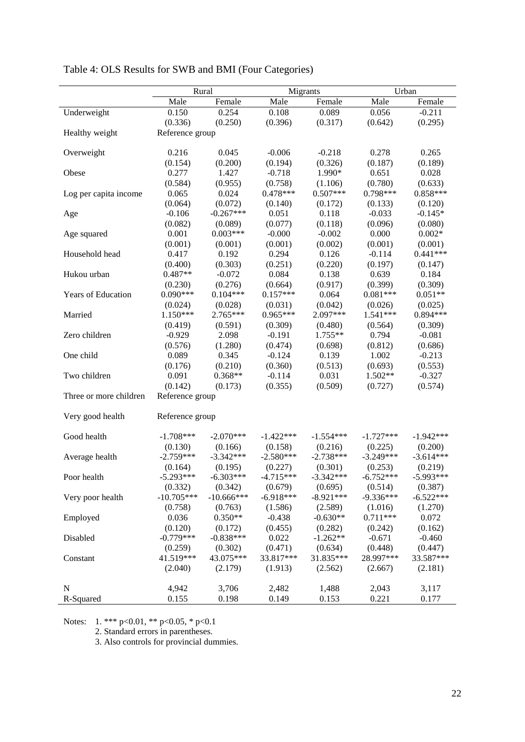|                        | Rural           |              | Migrants    |             | Urban       |             |
|------------------------|-----------------|--------------|-------------|-------------|-------------|-------------|
|                        | Male            | Female       | Male        | Female      | Male        | Female      |
| Underweight            | 0.150           | 0.254        | 0.108       | 0.089       | 0.056       | $-0.211$    |
|                        | (0.336)         | (0.250)      | (0.396)     | (0.317)     | (0.642)     | (0.295)     |
| Healthy weight         | Reference group |              |             |             |             |             |
|                        |                 |              |             |             |             |             |
| Overweight             | 0.216           | 0.045        | $-0.006$    | $-0.218$    | 0.278       | 0.265       |
|                        | (0.154)         | (0.200)      | (0.194)     | (0.326)     | (0.187)     | (0.189)     |
| Obese                  | 0.277           | 1.427        | $-0.718$    | 1.990*      | 0.651       | 0.028       |
|                        | (0.584)         | (0.955)      | (0.758)     | (1.106)     | (0.780)     | (0.633)     |
| Log per capita income  | 0.065           | 0.024        | $0.478***$  | $0.507***$  | $0.798***$  | $0.858***$  |
|                        | (0.064)         | (0.072)      | (0.140)     | (0.172)     | (0.133)     | (0.120)     |
| Age                    | $-0.106$        | $-0.267***$  | 0.051       | 0.118       | $-0.033$    | $-0.145*$   |
|                        | (0.082)         | (0.089)      | (0.077)     | (0.118)     | (0.096)     | (0.080)     |
| Age squared            | 0.001           | $0.003***$   | $-0.000$    | $-0.002$    | 0.000       | $0.002*$    |
|                        | (0.001)         | (0.001)      | (0.001)     | (0.002)     | (0.001)     | (0.001)     |
| Household head         | 0.417           | 0.192        | 0.294       | 0.126       | $-0.114$    | $0.441***$  |
|                        | (0.400)         | (0.303)      | (0.251)     | (0.220)     | (0.197)     | (0.147)     |
| Hukou urban            | $0.487**$       | $-0.072$     | 0.084       | 0.138       | 0.639       | 0.184       |
|                        | (0.230)         | (0.276)      | (0.664)     | (0.917)     | (0.399)     | (0.309)     |
| Years of Education     | $0.090***$      | $0.104***$   | $0.157***$  | 0.064       | $0.081***$  | $0.051**$   |
|                        | (0.024)         | (0.028)      | (0.031)     | (0.042)     | (0.026)     | (0.025)     |
| Married                | $1.150***$      | 2.765***     | 0.965***    | 2.097***    | $1.541***$  | $0.894***$  |
|                        | (0.419)         | (0.591)      | (0.309)     | (0.480)     | (0.564)     | (0.309)     |
| Zero children          | $-0.929$        | 2.098        | $-0.191$    | 1.755**     | 0.794       | $-0.081$    |
|                        | (0.576)         | (1.280)      | (0.474)     | (0.698)     | (0.812)     | (0.686)     |
| One child              | 0.089           | 0.345        | $-0.124$    | 0.139       | 1.002       | $-0.213$    |
|                        | (0.176)         | (0.210)      | (0.360)     | (0.513)     | (0.693)     | (0.553)     |
| Two children           | 0.091           | $0.368**$    | $-0.114$    | 0.031       | 1.502**     | $-0.327$    |
|                        | (0.142)         | (0.173)      | (0.355)     | (0.509)     | (0.727)     | (0.574)     |
| Three or more children | Reference group |              |             |             |             |             |
|                        |                 |              |             |             |             |             |
| Very good health       | Reference group |              |             |             |             |             |
|                        |                 |              |             |             |             |             |
| Good health            | $-1.708***$     | $-2.070***$  | $-1.422***$ | $-1.554***$ | $-1.727***$ | $-1.942***$ |
|                        | (0.130)         | (0.166)      | (0.158)     | (0.216)     | (0.225)     | (0.200)     |
| Average health         | $-2.759***$     | $-3.342***$  | $-2.580***$ | $-2.738***$ | $-3.249***$ | $-3.614***$ |
|                        | (0.164)         | (0.195)      | (0.227)     | (0.301)     | (0.253)     | (0.219)     |
| Poor health            | $-5.293***$     | $-6.303***$  | $-4.715***$ | $-3.342***$ | $-6.752***$ | $-5.993***$ |
|                        | (0.332)         | (0.342)      | (0.679)     | (0.695)     | (0.514)     | (0.387)     |
| Very poor health       | $-10.705***$    | $-10.666***$ | $-6.918***$ | $-8.921***$ | $-9.336***$ | $-6.522***$ |
|                        | (0.758)         | (0.763)      | (1.586)     | (2.589)     | (1.016)     | (1.270)     |
| Employed               | 0.036           | $0.350**$    | $-0.438$    | $-0.630**$  | $0.711***$  | 0.072       |
|                        | (0.120)         | (0.172)      | (0.455)     | (0.282)     | (0.242)     | (0.162)     |
| Disabled               | $-0.779***$     | $-0.838***$  | 0.022       | $-1.262**$  | $-0.671$    | $-0.460$    |
|                        | (0.259)         | (0.302)      | (0.471)     | (0.634)     | (0.448)     | (0.447)     |
| Constant               | 41.519***       | 43.075***    | 33.817***   | 31.835***   | 28.997***   | 33.587***   |
|                        | (2.040)         | (2.179)      | (1.913)     | (2.562)     | (2.667)     | (2.181)     |
|                        |                 |              |             |             |             |             |
| $\mathbf N$            | 4,942           | 3,706        | 2,482       | 1,488       | 2,043       | 3,117       |
| R-Squared              | 0.155           | 0.198        | 0.149       | 0.153       | 0.221       | 0.177       |

Table 4: OLS Results for SWB and BMI (Four Categories)

Notes: 1. \*\*\* p<0.01, \*\* p<0.05, \* p<0.1

2. Standard errors in parentheses.

3. Also controls for provincial dummies.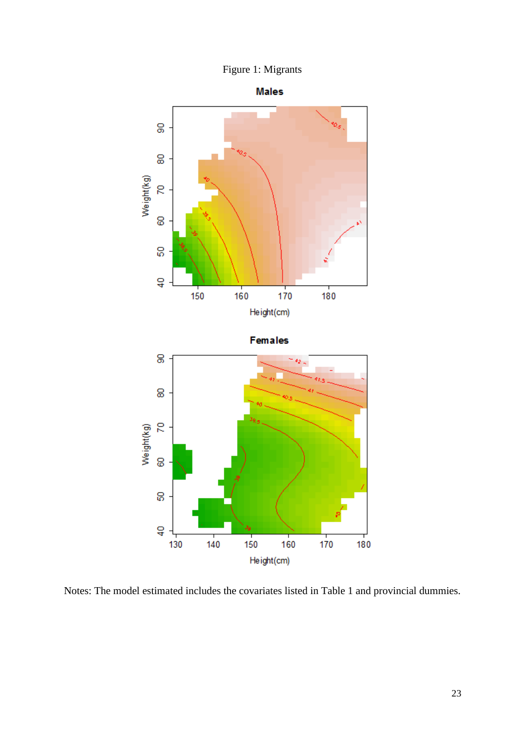



Notes: The model estimated includes the covariates listed in Table 1 and provincial dummies.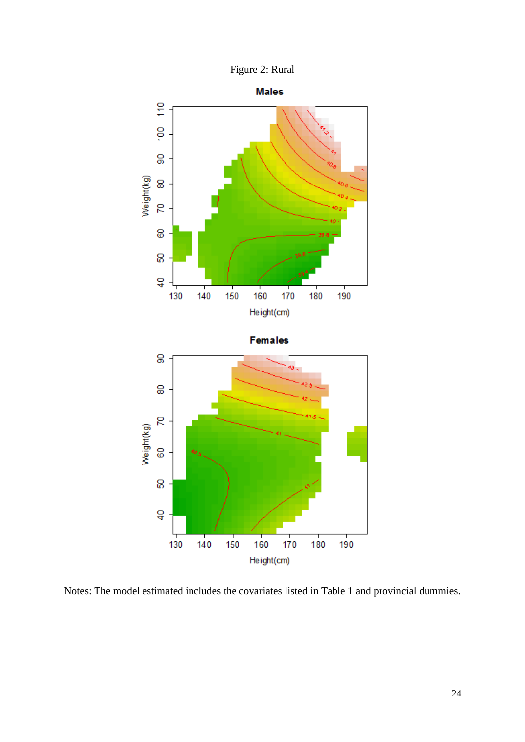



Notes: The model estimated includes the covariates listed in Table 1 and provincial dummies.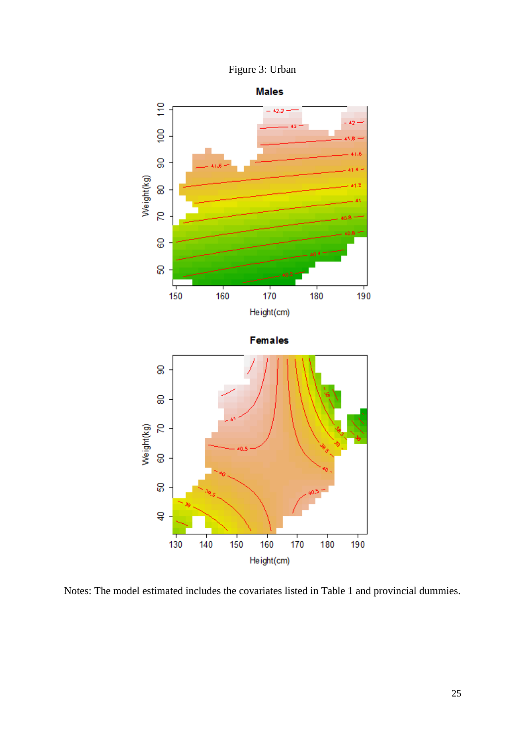



Notes: The model estimated includes the covariates listed in Table 1 and provincial dummies.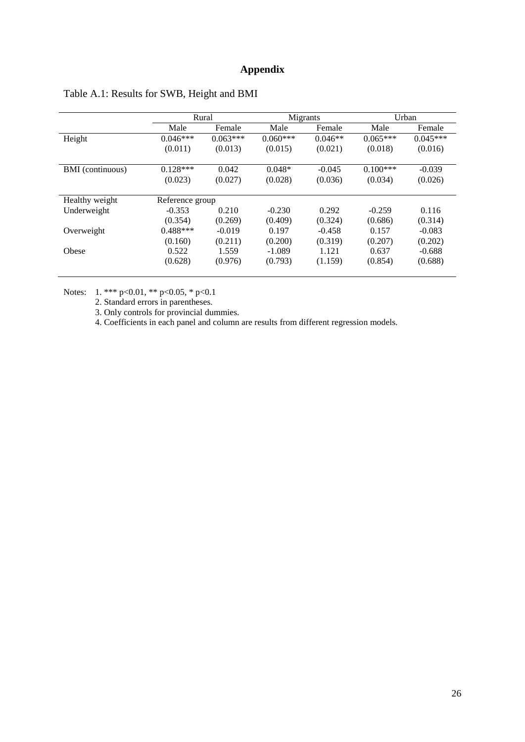### **Appendix**

|                  | Rural           |            | Migrants   |           | Urban      |            |
|------------------|-----------------|------------|------------|-----------|------------|------------|
|                  | Male            | Female     | Male       | Female    | Male       | Female     |
| Height           | $0.046***$      | $0.063***$ | $0.060***$ | $0.046**$ | $0.065***$ | $0.045***$ |
|                  | (0.011)         | (0.013)    | (0.015)    | (0.021)   | (0.018)    | (0.016)    |
| BMI (continuous) | $0.128***$      | 0.042      | $0.048*$   | $-0.045$  | $0.100***$ | $-0.039$   |
|                  | (0.023)         | (0.027)    | (0.028)    | (0.036)   | (0.034)    | (0.026)    |
|                  |                 |            |            |           |            |            |
| Healthy weight   | Reference group |            |            |           |            |            |
| Underweight      | $-0.353$        | 0.210      | $-0.230$   | 0.292     | $-0.259$   | 0.116      |
|                  | (0.354)         | (0.269)    | (0.409)    | (0.324)   | (0.686)    | (0.314)    |
| Overweight       | $0.488***$      | $-0.019$   | 0.197      | $-0.458$  | 0.157      | $-0.083$   |
|                  | (0.160)         | (0.211)    | (0.200)    | (0.319)   | (0.207)    | (0.202)    |
| Obese            | 0.522           | 1.559      | $-1.089$   | 1.121     | 0.637      | $-0.688$   |
|                  | (0.628)         | (0.976)    | (0.793)    | (1.159)   | (0.854)    | (0.688)    |
|                  |                 |            |            |           |            |            |

### Table A.1: Results for SWB, Height and BMI

Notes: 1. \*\*\* p<0.01, \*\* p<0.05, \* p<0.1

2. Standard errors in parentheses.

3. Only controls for provincial dummies.

4. Coefficients in each panel and column are results from different regression models.